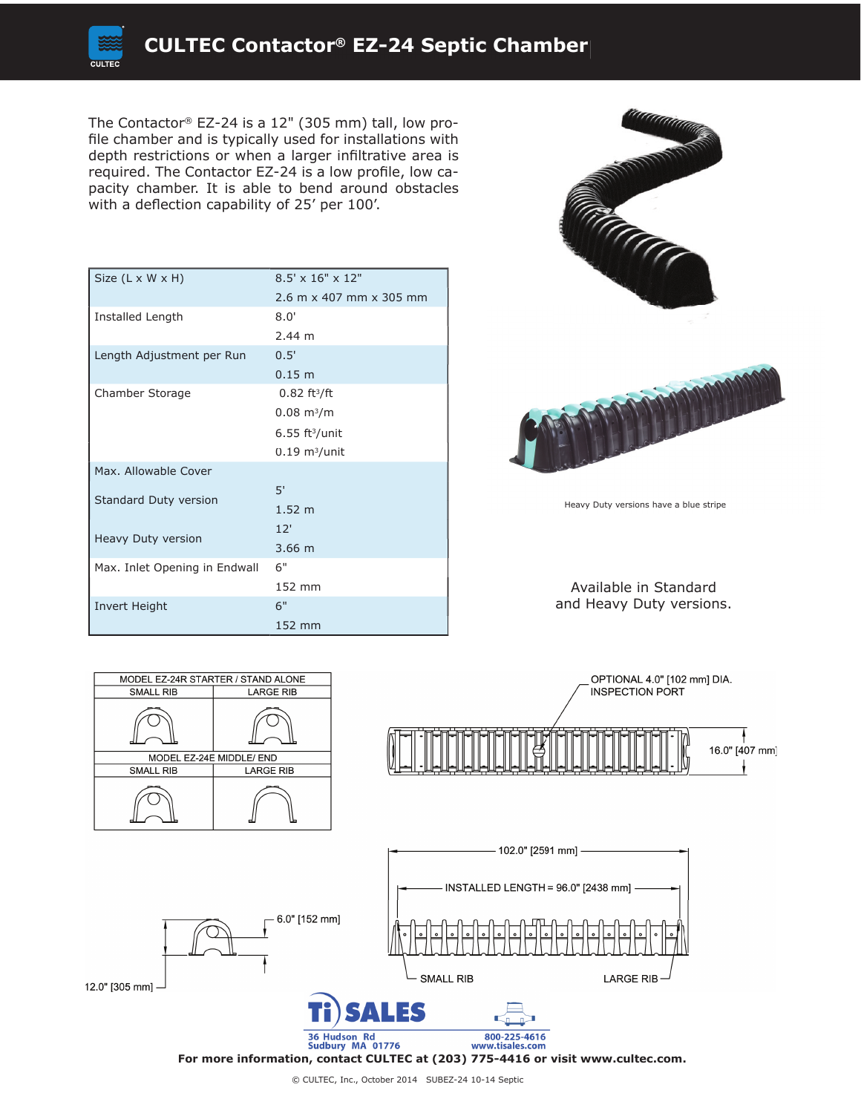

The Contactor® EZ-24 is a 12" (305 mm) tall, low profile chamber and is typically used for installations with depth restrictions or when a larger infiltrative area is required. The Contactor EZ-24 is a low profile, low capacity chamber. It is able to bend around obstacles with a deflection capability of 25' per 100'.

| Size (L x W x H)              | $8.5' \times 16'' \times 12''$ |
|-------------------------------|--------------------------------|
|                               | 2.6 m x 407 mm x 305 mm        |
| Installed Length              | 8.0'                           |
|                               | 2.44 m                         |
| Length Adjustment per Run     | 0.5'                           |
|                               | 0.15 m                         |
| Chamber Storage               | $0.82 \text{ ft}^3/\text{ft}$  |
|                               | $0.08 \text{ m}^3/\text{m}$    |
|                               | $6.55$ ft <sup>3</sup> /unit   |
|                               | $0.19 \text{ m}^3/\text{unit}$ |
| Max. Allowable Cover          |                                |
| Standard Duty version         | 5'                             |
|                               | 1.52 <sub>m</sub>              |
| Heavy Duty version            | 12'                            |
|                               | $3.66 \; m$                    |
| Max. Inlet Opening in Endwall | 6"                             |
|                               | 152 mm                         |
| Invert Height                 | 6"                             |
|                               | 152 mm                         |





Heavy Duty versions have a blue stripe

Available in Standard and Heavy Duty versions.







**For more information, contact CULTEC at (203) 775-4416 or visit www.cultec.com.**